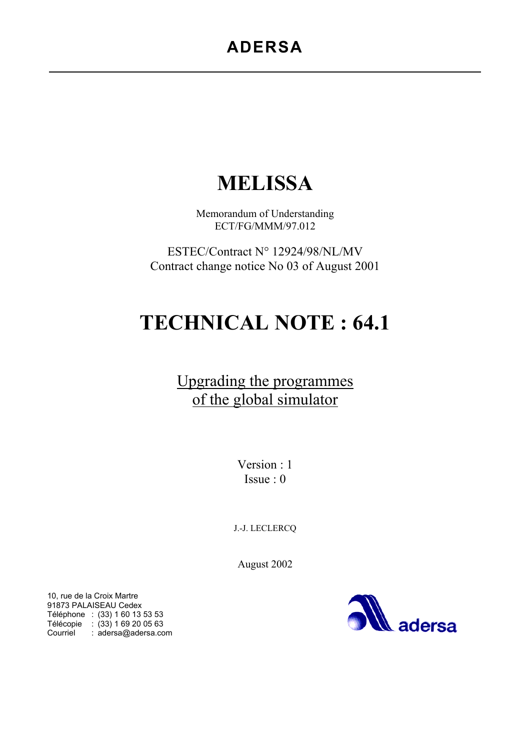# **MELISSA**

Memorandum of Understanding ECT/FG/MMM/97.012

ESTEC/Contract N° 12924/98/NL/MV Contract change notice No 03 of August 2001

# **TECHNICAL NOTE : 64.1**

# Upgrading the programmes of the global simulator

Version : 1 Issue : 0

J.-J. LECLERCQ

August 2002

10, rue de la Croix Martre 91873 PALAISEAU Cedex Téléphone : (33) 1 60 13 53 53 Télécopie : (33) 1 69 20 05 63 Courriel : adersa@adersa.com

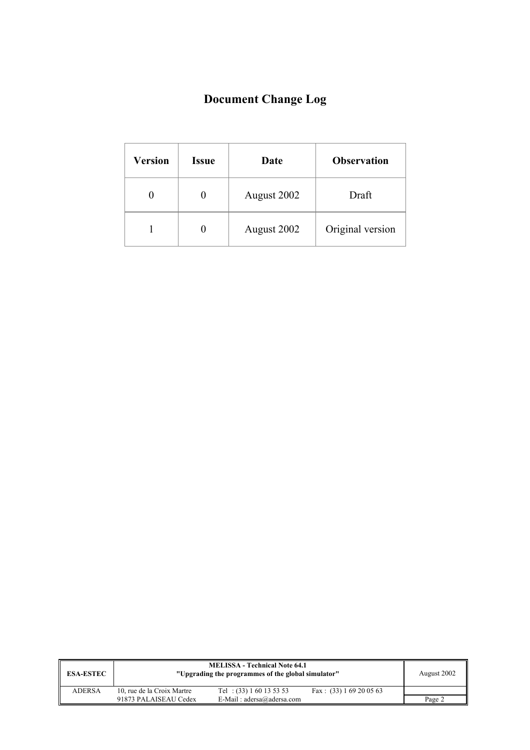# **Document Change Log**

| <b>Version</b> | <b>Issue</b> | Date        | <b>Observation</b> |
|----------------|--------------|-------------|--------------------|
|                |              | August 2002 | Draft              |
|                |              | August 2002 | Original version   |

| <b>ESA-ESTEC</b> | <b>MELISSA - Technical Note 64.1</b><br>"Upgrading the programmes of the global simulator" |                             |                           | August 2002 |
|------------------|--------------------------------------------------------------------------------------------|-----------------------------|---------------------------|-------------|
| <b>ADERSA</b>    | 10, rue de la Croix Martre                                                                 | Tel: $(33) 1 60 13 53 53$   | Fax: $(33)$ 1 69 20 05 63 |             |
|                  | 91873 PALAISEAU Cedex                                                                      | E-Mail: $adersa@adersa.com$ |                           | Page 2      |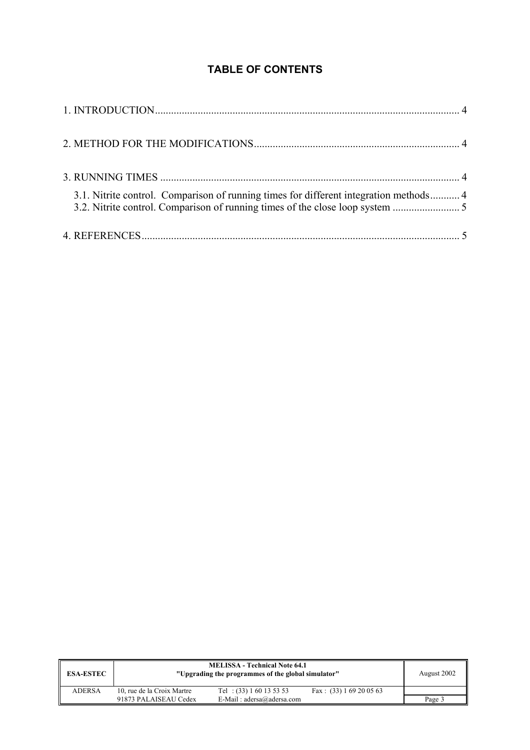## **TABLE OF CONTENTS**

| 3.1. Nitrite control. Comparison of running times for different integration methods 4<br>3.2. Nitrite control. Comparison of running times of the close loop system |  |
|---------------------------------------------------------------------------------------------------------------------------------------------------------------------|--|
|                                                                                                                                                                     |  |

| <b>ESA-ESTEC</b> | <b>MELISSA - Technical Note 64.1</b><br>"Upgrading the programmes of the global simulator" |                             |                           | August 2002 |
|------------------|--------------------------------------------------------------------------------------------|-----------------------------|---------------------------|-------------|
| <b>ADERSA</b>    | 10, rue de la Croix Martre                                                                 | Tel: $(33) 1 60 13 53 53$   | Fax: $(33)$ 1 69 20 05 63 |             |
|                  | 91873 PALAISEAU Cedex                                                                      | E-Mail: $adersa@adersa.com$ |                           | Page 3      |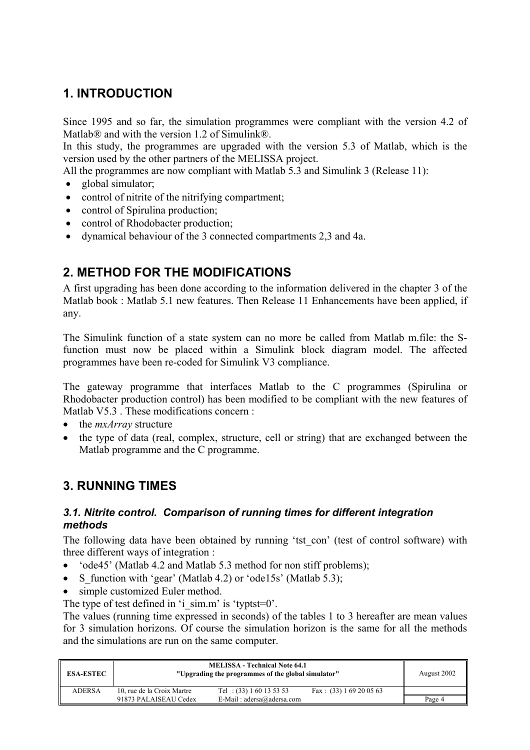# **1. INTRODUCTION**

Since 1995 and so far, the simulation programmes were compliant with the version 4.2 of Matlab® and with the version 1.2 of Simulink®.

In this study, the programmes are upgraded with the version 5.3 of Matlab, which is the version used by the other partners of the MELISSA project.

All the programmes are now compliant with Matlab 5.3 and Simulink 3 (Release 11):

- global simulator;
- control of nitrite of the nitrifying compartment;
- control of Spirulina production;
- control of Rhodobacter production:
- dynamical behaviour of the 3 connected compartments 2,3 and 4a.

## **2. METHOD FOR THE MODIFICATIONS**

A first upgrading has been done according to the information delivered in the chapter 3 of the Matlab book : Matlab 5.1 new features. Then Release 11 Enhancements have been applied, if any.

The Simulink function of a state system can no more be called from Matlab m.file: the Sfunction must now be placed within a Simulink block diagram model. The affected programmes have been re-coded for Simulink V3 compliance.

The gateway programme that interfaces Matlab to the C programmes (Spirulina or Rhodobacter production control) has been modified to be compliant with the new features of Matlab V5.3 . These modifications concern :

- the *mxArray* structure
- the type of data (real, complex, structure, cell or string) that are exchanged between the Matlab programme and the C programme.

## **3. RUNNING TIMES**

#### *3.1. Nitrite control. Comparison of running times for different integration methods*

The following data have been obtained by running 'tst con' (test of control software) with three different ways of integration :

- 'ode45' (Matlab 4.2 and Matlab 5.3 method for non stiff problems);
- S function with 'gear' (Matlab 4.2) or 'ode15s' (Matlab 5.3);
- simple customized Euler method.

The type of test defined in 'i\_sim.m' is 'typtst=0'.

The values (running time expressed in seconds) of the tables 1 to 3 hereafter are mean values for 3 simulation horizons. Of course the simulation horizon is the same for all the methods and the simulations are run on the same computer.

| <b>ESA-ESTEC</b> | <b>MELISSA - Technical Note 64.1</b><br>"Upgrading the programmes of the global simulator" |                             |                           | August 2002 |
|------------------|--------------------------------------------------------------------------------------------|-----------------------------|---------------------------|-------------|
| <b>ADERSA</b>    | 10, rue de la Croix Martre                                                                 | Tel: $(33) 1 60 13 53 53$   | Fax: $(33) 1 69 20 05 63$ |             |
|                  | 91873 PALAISEAU Cedex                                                                      | E-Mail: $adersa@adersa.com$ |                           | Page 4      |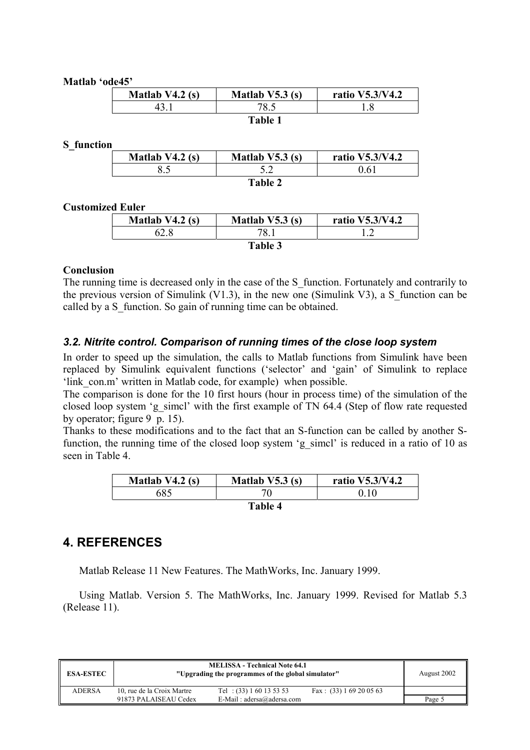#### **Matlab 'ode45'**

| Matlab $V4.2$ (s) | Matlab $V5.3(s)$ | ratio V5.3/V4.2 |
|-------------------|------------------|-----------------|
|                   |                  |                 |
|                   | Table            |                 |

#### **S\_function**

| Matlab $V4.2$ (s) | Matlab $V5.3$ (s) | ratio V5.3/V4.2 |
|-------------------|-------------------|-----------------|
|                   |                   | 0.61            |
|                   | Table 2           |                 |

#### **Customized Euler**

| Matlab $V4.2$ (s) | Matlab $V5.3$ (s) | ratio V5.3/V4.2 |  |  |
|-------------------|-------------------|-----------------|--|--|
|                   | 78.               |                 |  |  |
| Table 3           |                   |                 |  |  |

#### **Conclusion**

The running time is decreased only in the case of the S function. Fortunately and contrarily to the previous version of Simulink (V1.3), in the new one (Simulink V3), a S function can be called by a S function. So gain of running time can be obtained.

#### *3.2. Nitrite control. Comparison of running times of the close loop system*

In order to speed up the simulation, the calls to Matlab functions from Simulink have been replaced by Simulink equivalent functions ('selector' and 'gain' of Simulink to replace 'link con.m' written in Matlab code, for example) when possible.

The comparison is done for the 10 first hours (hour in process time) of the simulation of the closed loop system 'g\_simcl' with the first example of TN 64.4 (Step of flow rate requested by operator; figure 9 p. 15).

Thanks to these modifications and to the fact that an S-function can be called by another Sfunction, the running time of the closed loop system 'g\_simcl' is reduced in a ratio of 10 as seen in Table 4.

| Matlab $V4.2$ (s) | Matlab $V5.3$ (s) | ratio V5.3/V4.2 |  |  |
|-------------------|-------------------|-----------------|--|--|
| 685               |                   |                 |  |  |
| <b>Table 4</b>    |                   |                 |  |  |

### **4. REFERENCES**

Matlab Release 11 New Features. The MathWorks, Inc. January 1999.

Using Matlab. Version 5. The MathWorks, Inc. January 1999. Revised for Matlab 5.3 (Release 11).

| <b>ESA-ESTEC</b> | <b>MELISSA - Technical Note 64.1</b><br>"Upgrading the programmes of the global simulator" |                             |                           | August 2002 |
|------------------|--------------------------------------------------------------------------------------------|-----------------------------|---------------------------|-------------|
| <b>ADERSA</b>    | 10, rue de la Croix Martre                                                                 | Tel: $(33) 1 60 13 53 53$   | Fax: $(33)$ 1 69 20 05 63 |             |
|                  | 91873 PALAISEAU Cedex                                                                      | E-Mail: $adersa@adersa.com$ |                           | Page 5      |